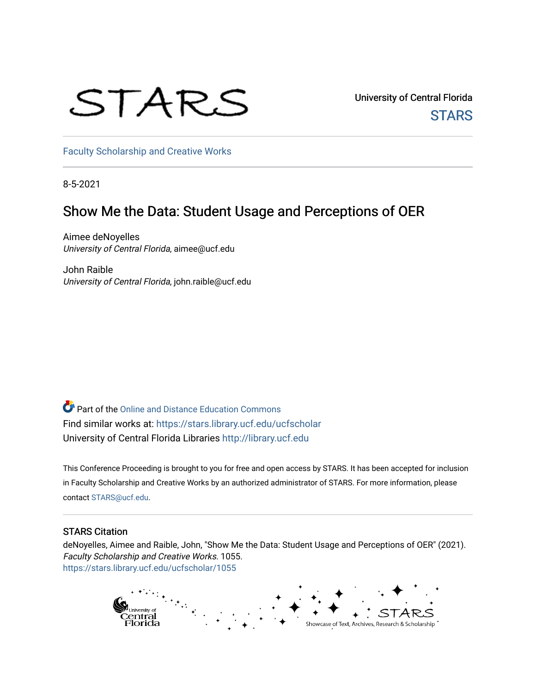# STARS

University of Central Florida **STARS** 

[Faculty Scholarship and Creative Works](https://stars.library.ucf.edu/ucfscholar) 

8-5-2021

# Show Me the Data: Student Usage and Perceptions of OER

Aimee deNoyelles University of Central Florida, aimee@ucf.edu

John Raible University of Central Florida, john.raible@ucf.edu

Part of the [Online and Distance Education Commons](http://network.bepress.com/hgg/discipline/1296?utm_source=stars.library.ucf.edu%2Fucfscholar%2F1055&utm_medium=PDF&utm_campaign=PDFCoverPages) Find similar works at: <https://stars.library.ucf.edu/ucfscholar> University of Central Florida Libraries [http://library.ucf.edu](http://library.ucf.edu/) 

This Conference Proceeding is brought to you for free and open access by STARS. It has been accepted for inclusion in Faculty Scholarship and Creative Works by an authorized administrator of STARS. For more information, please contact [STARS@ucf.edu.](mailto:STARS@ucf.edu)

#### STARS Citation

deNoyelles, Aimee and Raible, John, "Show Me the Data: Student Usage and Perceptions of OER" (2021). Faculty Scholarship and Creative Works. 1055. [https://stars.library.ucf.edu/ucfscholar/1055](https://stars.library.ucf.edu/ucfscholar/1055?utm_source=stars.library.ucf.edu%2Fucfscholar%2F1055&utm_medium=PDF&utm_campaign=PDFCoverPages) 

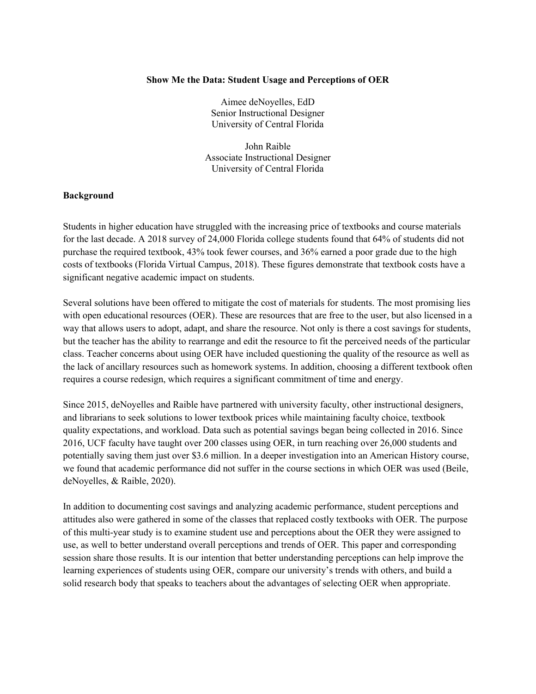#### **Show Me the Data: Student Usage and Perceptions of OER**

Aimee deNoyelles, EdD Senior Instructional Designer University of Central Florida

John Raible Associate Instructional Designer University of Central Florida

#### **Background**

Students in higher education have struggled with the increasing price of textbooks and course materials for the last decade. A 2018 survey of 24,000 Florida college students found that 64% of students did not purchase the required textbook, 43% took fewer courses, and 36% earned a poor grade due to the high costs of textbooks (Florida Virtual Campus, 2018). These figures demonstrate that textbook costs have a significant negative academic impact on students.

Several solutions have been offered to mitigate the cost of materials for students. The most promising lies with open educational resources (OER). These are resources that are free to the user, but also licensed in a way that allows users to adopt, adapt, and share the resource. Not only is there a cost savings for students, but the teacher has the ability to rearrange and edit the resource to fit the perceived needs of the particular class. Teacher concerns about using OER have included questioning the quality of the resource as well as the lack of ancillary resources such as homework systems. In addition, choosing a different textbook often requires a course redesign, which requires a significant commitment of time and energy.

Since 2015, deNoyelles and Raible have partnered with university faculty, other instructional designers, and librarians to seek solutions to lower textbook prices while maintaining faculty choice, textbook quality expectations, and workload. Data such as potential savings began being collected in 2016. Since 2016, UCF faculty have taught over 200 classes using OER, in turn reaching over 26,000 students and potentially saving them just over \$3.6 million. In a deeper investigation into an American History course, we found that academic performance did not suffer in the course sections in which OER was used (Beile, deNoyelles, & Raible, 2020).

In addition to documenting cost savings and analyzing academic performance, student perceptions and attitudes also were gathered in some of the classes that replaced costly textbooks with OER. The purpose of this multi-year study is to examine student use and perceptions about the OER they were assigned to use, as well to better understand overall perceptions and trends of OER. This paper and corresponding session share those results. It is our intention that better understanding perceptions can help improve the learning experiences of students using OER, compare our university's trends with others, and build a solid research body that speaks to teachers about the advantages of selecting OER when appropriate.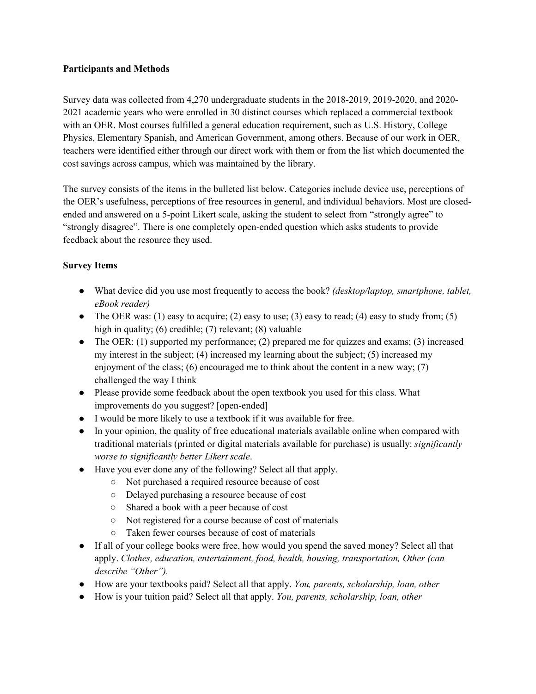#### **Participants and Methods**

Survey data was collected from 4,270 undergraduate students in the 2018-2019, 2019-2020, and 2020- 2021 academic years who were enrolled in 30 distinct courses which replaced a commercial textbook with an OER. Most courses fulfilled a general education requirement, such as U.S. History, College Physics, Elementary Spanish, and American Government, among others. Because of our work in OER, teachers were identified either through our direct work with them or from the list which documented the cost savings across campus, which was maintained by the library.

The survey consists of the items in the bulleted list below. Categories include device use, perceptions of the OER's usefulness, perceptions of free resources in general, and individual behaviors. Most are closedended and answered on a 5-point Likert scale, asking the student to select from "strongly agree" to "strongly disagree". There is one completely open-ended question which asks students to provide feedback about the resource they used.

# **Survey Items**

- What device did you use most frequently to access the book? *(desktop/laptop, smartphone, tablet, eBook reader)*
- The OER was: (1) easy to acquire; (2) easy to use; (3) easy to read; (4) easy to study from; (5) high in quality; (6) credible; (7) relevant; (8) valuable
- The OER: (1) supported my performance; (2) prepared me for quizzes and exams; (3) increased my interest in the subject; (4) increased my learning about the subject; (5) increased my enjoyment of the class; (6) encouraged me to think about the content in a new way;  $(7)$ challenged the way I think
- Please provide some feedback about the open textbook you used for this class. What improvements do you suggest? [open-ended]
- I would be more likely to use a textbook if it was available for free.
- In your opinion, the quality of free educational materials available online when compared with traditional materials (printed or digital materials available for purchase) is usually: *significantly worse to significantly better Likert scale*.
- Have you ever done any of the following? Select all that apply.
	- Not purchased a required resource because of cost
	- Delayed purchasing a resource because of cost
	- Shared a book with a peer because of cost
	- Not registered for a course because of cost of materials
	- Taken fewer courses because of cost of materials
- If all of your college books were free, how would you spend the saved money? Select all that apply. *Clothes, education, entertainment, food, health, housing, transportation, Other (can describe "Other").*
- How are your textbooks paid? Select all that apply. *You, parents, scholarship, loan, other*
- How is your tuition paid? Select all that apply. *You, parents, scholarship, loan, other*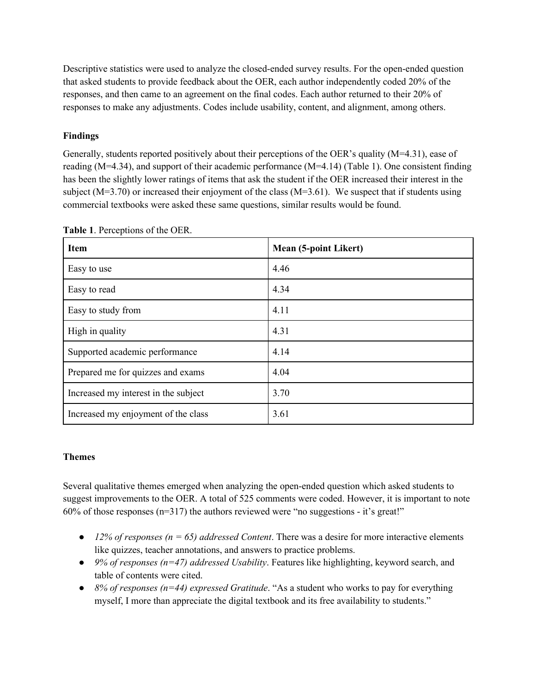Descriptive statistics were used to analyze the closed-ended survey results. For the open-ended question that asked students to provide feedback about the OER, each author independently coded 20% of the responses, and then came to an agreement on the final codes. Each author returned to their 20% of responses to make any adjustments. Codes include usability, content, and alignment, among others.

# **Findings**

Generally, students reported positively about their perceptions of the OER's quality (M=4.31), ease of reading (M=4.34), and support of their academic performance (M=4.14) (Table 1). One consistent finding has been the slightly lower ratings of items that ask the student if the OER increased their interest in the subject ( $M=3.70$ ) or increased their enjoyment of the class ( $M=3.61$ ). We suspect that if students using commercial textbooks were asked these same questions, similar results would be found.

| <b>Item</b>                          | <b>Mean (5-point Likert)</b> |
|--------------------------------------|------------------------------|
| Easy to use                          | 4.46                         |
| Easy to read                         | 4.34                         |
| Easy to study from                   | 4.11                         |
| High in quality                      | 4.31                         |
| Supported academic performance       | 4.14                         |
| Prepared me for quizzes and exams    | 4.04                         |
| Increased my interest in the subject | 3.70                         |
| Increased my enjoyment of the class  | 3.61                         |

**Table 1**. Perceptions of the OER.

# **Themes**

Several qualitative themes emerged when analyzing the open-ended question which asked students to suggest improvements to the OER. A total of 525 comments were coded. However, it is important to note  $60\%$  of those responses ( $n=317$ ) the authors reviewed were "no suggestions - it's great!"

- $\bullet$  *12% of responses (n = 65) addressed Content*. There was a desire for more interactive elements like quizzes, teacher annotations, and answers to practice problems.
- *9% of responses (n=47) addressed Usability*. Features like highlighting, keyword search, and table of contents were cited.
- *8% of responses (n=44) expressed Gratitude*. "As a student who works to pay for everything myself, I more than appreciate the digital textbook and its free availability to students."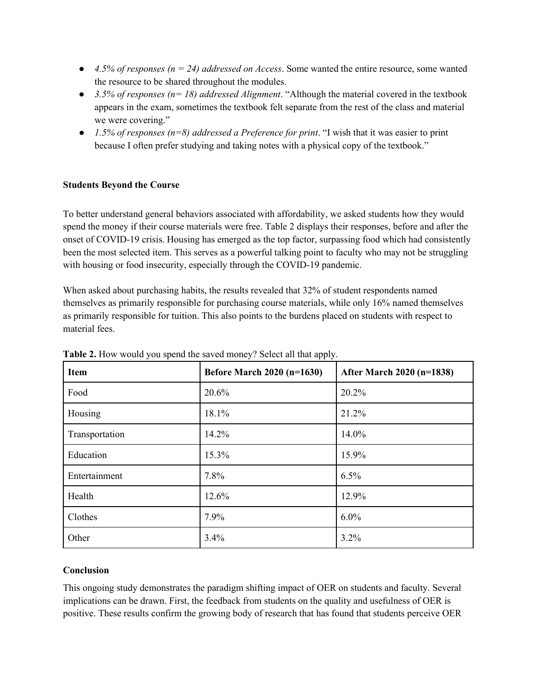- $\bullet$  *4.5% of responses (n = 24) addressed on Access.* Some wanted the entire resource, some wanted the resource to be shared throughout the modules.
- *3.5% of responses (n= 18) addressed Alignment*. "Although the material covered in the textbook appears in the exam, sometimes the textbook felt separate from the rest of the class and material we were covering."
- *1.5% of responses (n=8) addressed a Preference for print*. "I wish that it was easier to print because I often prefer studying and taking notes with a physical copy of the textbook."

# **Students Beyond the Course**

To better understand general behaviors associated with affordability, we asked students how they would spend the money if their course materials were free. Table 2 displays their responses, before and after the onset of COVID-19 crisis. Housing has emerged as the top factor, surpassing food which had consistently been the most selected item. This serves as a powerful talking point to faculty who may not be struggling with housing or food insecurity, especially through the COVID-19 pandemic.

When asked about purchasing habits, the results revealed that 32% of student respondents named themselves as primarily responsible for purchasing course materials, while only 16% named themselves as primarily responsible for tuition. This also points to the burdens placed on students with respect to material fees.

| Item           | <b>Before March 2020 (n=1630)</b> | After March 2020 (n=1838) |
|----------------|-----------------------------------|---------------------------|
| Food           | 20.6%                             | 20.2%                     |
| Housing        | 18.1%                             | 21.2%                     |
| Transportation | 14.2%                             | 14.0%                     |
| Education      | 15.3%                             | 15.9%                     |
| Entertainment  | 7.8%                              | 6.5%                      |
| Health         | 12.6%                             | 12.9%                     |
| Clothes        | 7.9%                              | $6.0\%$                   |
| Other          | 3.4%                              | 3.2%                      |

**Table 2.** How would you spend the saved money? Select all that apply.

# **Conclusion**

This ongoing study demonstrates the paradigm shifting impact of OER on students and faculty. Several implications can be drawn. First, the feedback from students on the quality and usefulness of OER is positive. These results confirm the growing body of research that has found that students perceive OER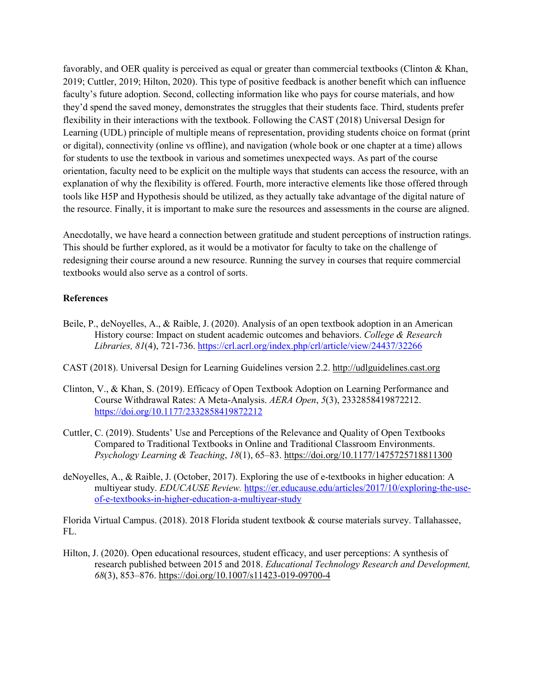favorably, and OER quality is perceived as equal or greater than commercial textbooks (Clinton & Khan, 2019; Cuttler, 2019; Hilton, 2020). This type of positive feedback is another benefit which can influence faculty's future adoption. Second, collecting information like who pays for course materials, and how they'd spend the saved money, demonstrates the struggles that their students face. Third, students prefer flexibility in their interactions with the textbook. Following the CAST (2018) Universal Design for Learning (UDL) principle of multiple means of representation, providing students choice on format (print or digital), connectivity (online vs offline), and navigation (whole book or one chapter at a time) allows for students to use the textbook in various and sometimes unexpected ways. As part of the course orientation, faculty need to be explicit on the multiple ways that students can access the resource, with an explanation of why the flexibility is offered. Fourth, more interactive elements like those offered through tools like H5P and Hypothesis should be utilized, as they actually take advantage of the digital nature of the resource. Finally, it is important to make sure the resources and assessments in the course are aligned.

Anecdotally, we have heard a connection between gratitude and student perceptions of instruction ratings. This should be further explored, as it would be a motivator for faculty to take on the challenge of redesigning their course around a new resource. Running the survey in courses that require commercial textbooks would also serve as a control of sorts.

#### **References**

- Beile, P., deNoyelles, A., & Raible, J. (2020). Analysis of an open textbook adoption in an American History course: Impact on student academic outcomes and behaviors. *College & Research Libraries, 81*(4), 721-736.<https://crl.acrl.org/index.php/crl/article/view/24437/32266>
- CAST (2018). Universal Design for Learning Guidelines version 2.2. [http://udlguidelines.cast.org](http://udlguidelines.cast.org/)
- Clinton, V., & Khan, S. (2019). Efficacy of Open Textbook Adoption on Learning Performance and Course Withdrawal Rates: A Meta-Analysis. *AERA Open*, *5*(3), 2332858419872212. <https://doi.org/10.1177/2332858419872212>
- Cuttler, C. (2019). Students' Use and Perceptions of the Relevance and Quality of Open Textbooks Compared to Traditional Textbooks in Online and Traditional Classroom Environments. *Psychology Learning & Teaching*, *18*(1), 65–83.<https://doi.org/10.1177/1475725718811300>
- deNoyelles, A., & Raible, J. (October, 2017). Exploring the use of e-textbooks in higher education: A multiyear study. *EDUCAUSE Review.* [https://er.educause.edu/articles/2017/10/exploring-the-use](https://er.educause.edu/articles/2017/10/exploring-the-use-of-e-textbooks-in-higher-education-a-multiyear-study)[of-e-textbooks-in-higher-education-a-multiyear-study](https://er.educause.edu/articles/2017/10/exploring-the-use-of-e-textbooks-in-higher-education-a-multiyear-study)

Florida Virtual Campus. (2018). 2018 Florida student textbook & course materials survey. Tallahassee, FL.

Hilton, J. (2020). Open educational resources, student efficacy, and user perceptions: A synthesis of research published between 2015 and 2018. *Educational Technology Research and Development, 68*(3), 853–876.<https://doi.org/10.1007/s11423-019-09700-4>